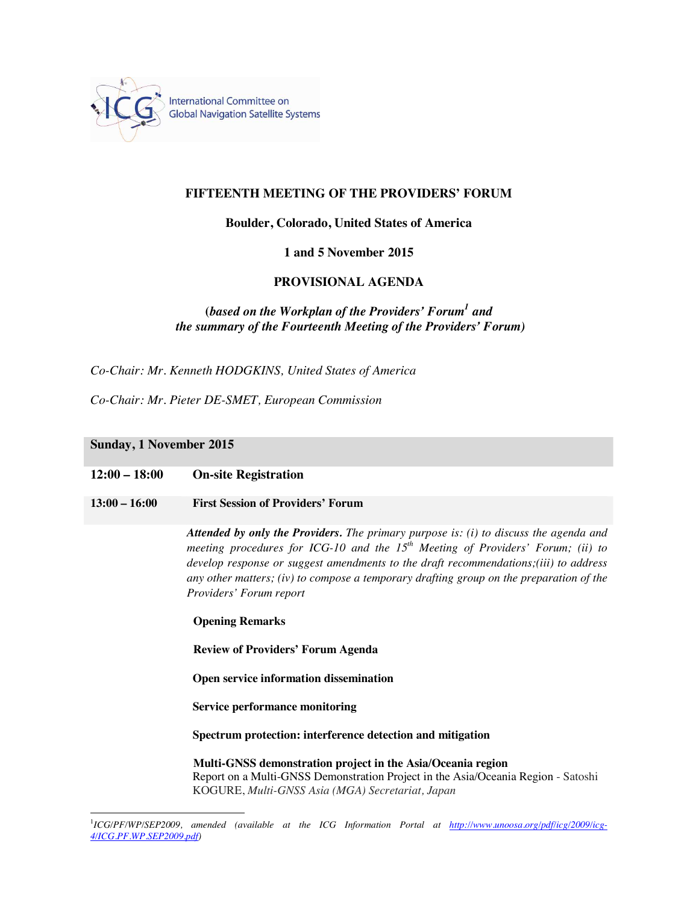

# **FIFTEENTH MEETING OF THE PROVIDERS' FORUM**

# **Boulder, Colorado, United States of America**

# **1 and 5 November 2015**

# **PROVISIONAL AGENDA**

# **(***based on the Workplan of the Providers' Forum<sup>1</sup> and the summary of the Fourteenth Meeting of the Providers' Forum)*

*Co-Chair: Mr. Kenneth HODGKINS, United States of America*

*Co-Chair: Mr. Pieter DE-SMET, European Commission*

### **Sunday, 1 November 2015**

 $\overline{a}$ 

# **12:00 – 18:00 On-site Registration**

#### **13:00 – 16:00 First Session of Providers' Forum**

*Attended by only the Providers. The primary purpose is: (i) to discuss the agenda and meeting procedures for ICG-10 and the*  $15<sup>th</sup>$  *Meeting of Providers' Forum; (ii) to develop response or suggest amendments to the draft recommendations;(iii) to address any other matters; (iv) to compose a temporary drafting group on the preparation of the Providers' Forum report*

#### **Opening Remarks**

**Review of Providers' Forum Agenda**

**Open service information dissemination**

**Service performance monitoring**

**Spectrum protection: interference detection and mitigation**

**Multi-GNSS demonstration project in the Asia/Oceania region** Report on a Multi-GNSS Demonstration Project in the Asia/Oceania Region - Satoshi KOGURE, *Multi-GNSS Asia (MGA) Secretariat, Japan*

<sup>&</sup>lt;sup>1</sup>ICG/PF/WP/SEP2009, amended (available at the ICG Information Portal at http://www.unoosa.org/pdf/icg/2009/icg-*4/ICG.PF.WP.SEP2009.pdf)*